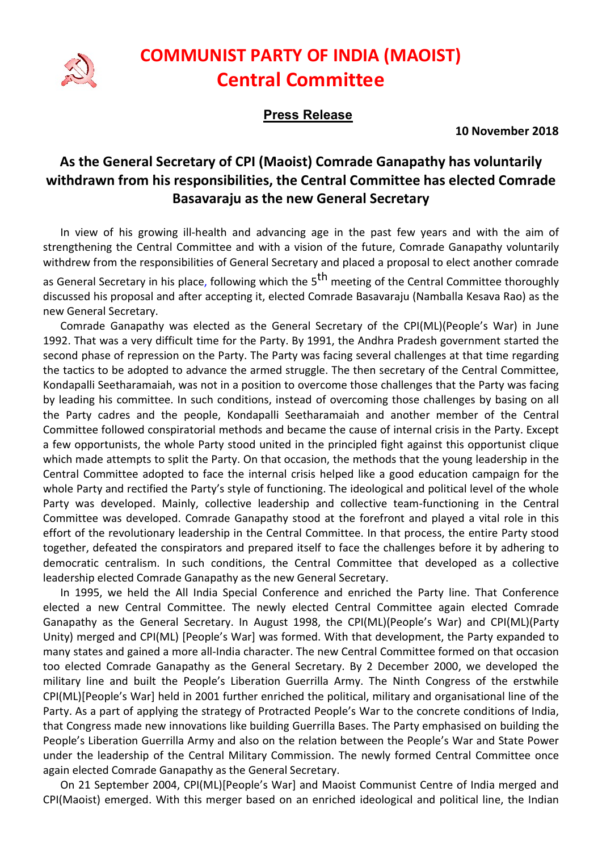

## COMMUNIST PARTY OF INDIA (MAOIST) Central Committee

## Press Release

10 November 2018

## As the General Secretary of CPI (Maoist) Comrade Ganapathy has voluntarily withdrawn from his responsibilities, the Central Committee has elected Comrade Basavaraju as the new General Secretary

In view of his growing ill-health and advancing age in the past few years and with the aim of strengthening the Central Committee and with a vision of the future, Comrade Ganapathy voluntarily withdrew from the responsibilities of General Secretary and placed a proposal to elect another comrade

as General Secretary in his place, following which the 5<sup>th</sup> meeting of the Central Committee thoroughly discussed his proposal and after accepting it, elected Comrade Basavaraju (Namballa Kesava Rao) as the new General Secretary.

Comrade Ganapathy was elected as the General Secretary of the CPI(ML)(People's War) in June 1992. That was a very difficult time for the Party. By 1991, the Andhra Pradesh government started the second phase of repression on the Party. The Party was facing several challenges at that time regarding the tactics to be adopted to advance the armed struggle. The then secretary of the Central Committee, Kondapalli Seetharamaiah, was not in a position to overcome those challenges that the Party was facing by leading his committee. In such conditions, instead of overcoming those challenges by basing on all the Party cadres and the people, Kondapalli Seetharamaiah and another member of the Central Committee followed conspiratorial methods and became the cause of internal crisis in the Party. Except a few opportunists, the whole Party stood united in the principled fight against this opportunist clique which made attempts to split the Party. On that occasion, the methods that the young leadership in the Central Committee adopted to face the internal crisis helped like a good education campaign for the whole Party and rectified the Party's style of functioning. The ideological and political level of the whole Party was developed. Mainly, collective leadership and collective team-functioning in the Central Committee was developed. Comrade Ganapathy stood at the forefront and played a vital role in this effort of the revolutionary leadership in the Central Committee. In that process, the entire Party stood together, defeated the conspirators and prepared itself to face the challenges before it by adhering to democratic centralism. In such conditions, the Central Committee that developed as a collective leadership elected Comrade Ganapathy as the new General Secretary.

In 1995, we held the All India Special Conference and enriched the Party line. That Conference elected a new Central Committee. The newly elected Central Committee again elected Comrade Ganapathy as the General Secretary. In August 1998, the CPI(ML)(People's War) and CPI(ML)(Party Unity) merged and CPI(ML) [People's War] was formed. With that development, the Party expanded to many states and gained a more all-India character. The new Central Committee formed on that occasion too elected Comrade Ganapathy as the General Secretary. By 2 December 2000, we developed the military line and built the People's Liberation Guerrilla Army. The Ninth Congress of the erstwhile CPI(ML)[People's War] held in 2001 further enriched the political, military and organisational line of the Party. As a part of applying the strategy of Protracted People's War to the concrete conditions of India, that Congress made new innovations like building Guerrilla Bases. The Party emphasised on building the People's Liberation Guerrilla Army and also on the relation between the People's War and State Power under the leadership of the Central Military Commission. The newly formed Central Committee once again elected Comrade Ganapathy as the General Secretary.

On 21 September 2004, CPI(ML)[People's War] and Maoist Communist Centre of India merged and CPI(Maoist) emerged. With this merger based on an enriched ideological and political line, the Indian